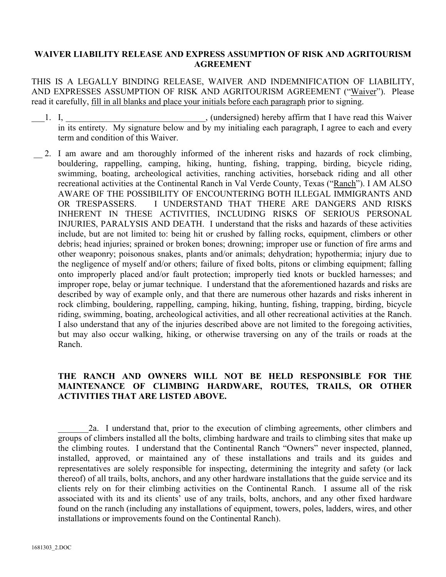## **WAIVER LIABILITY RELEASE AND EXPRESS ASSUMPTION OF RISK AND AGRITOURISM AGREEMENT**

THIS IS A LEGALLY BINDING RELEASE, WAIVER AND INDEMNIFICATION OF LIABILITY, AND EXPRESSES ASSUMPTION OF RISK AND AGRITOURISM AGREEMENT ("Waiver"). Please read it carefully, fill in all blanks and place your initials before each paragraph prior to signing.

- 1. I, the same contract that I have read this Waiver in the U have read this Waiver in its entirety. My signature below and by my initialing each paragraph, I agree to each and every term and condition of this Waiver.
- 2. I am aware and am thoroughly informed of the inherent risks and hazards of rock climbing, bouldering, rappelling, camping, hiking, hunting, fishing, trapping, birding, bicycle riding, swimming, boating, archeological activities, ranching activities, horseback riding and all other recreational activities at the Continental Ranch in Val Verde County, Texas ("Ranch"). I AM ALSO AWARE OF THE POSSIBILITY OF ENCOUNTERING BOTH ILLEGAL IMMIGRANTS AND OR TRESPASSERS. I UNDERSTAND THAT THERE ARE DANGERS AND RISKS INHERENT IN THESE ACTIVITIES, INCLUDING RISKS OF SERIOUS PERSONAL INJURIES, PARALYSIS AND DEATH. I understand that the risks and hazards of these activities include, but are not limited to: being hit or crushed by falling rocks, equipment, climbers or other debris; head injuries; sprained or broken bones; drowning; improper use or function of fire arms and other weaponry; poisonous snakes, plants and/or animals; dehydration; hypothermia; injury due to the negligence of myself and/or others; failure of fixed bolts, pitons or climbing equipment; falling onto improperly placed and/or fault protection; improperly tied knots or buckled harnesses; and improper rope, belay or jumar technique. I understand that the aforementioned hazards and risks are described by way of example only, and that there are numerous other hazards and risks inherent in rock climbing, bouldering, rappelling, camping, hiking, hunting, fishing, trapping, birding, bicycle riding, swimming, boating, archeological activities, and all other recreational activities at the Ranch. I also understand that any of the injuries described above are not limited to the foregoing activities, but may also occur walking, hiking, or otherwise traversing on any of the trails or roads at the Ranch.

## **THE RANCH AND OWNERS WILL NOT BE HELD RESPONSIBLE FOR THE MAINTENANCE OF CLIMBING HARDWARE, ROUTES, TRAILS, OR OTHER ACTIVITIES THAT ARE LISTED ABOVE.**

\_\_\_\_\_\_\_2a. I understand that, prior to the execution of climbing agreements, other climbers and groups of climbers installed all the bolts, climbing hardware and trails to climbing sites that make up the climbing routes. I understand that the Continental Ranch "Owners" never inspected, planned, installed, approved, or maintained any of these installations and trails and its guides and representatives are solely responsible for inspecting, determining the integrity and safety (or lack thereof) of all trails, bolts, anchors, and any other hardware installations that the guide service and its clients rely on for their climbing activities on the Continental Ranch. I assume all of the risk associated with its and its clients' use of any trails, bolts, anchors, and any other fixed hardware found on the ranch (including any installations of equipment, towers, poles, ladders, wires, and other installations or improvements found on the Continental Ranch).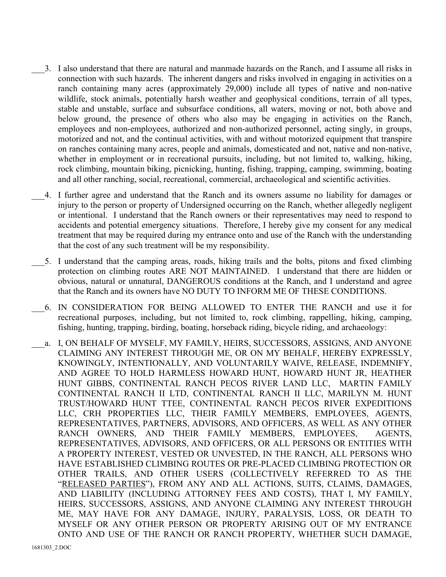- \_\_\_3. I also understand that there are natural and manmade hazards on the Ranch, and I assume all risks in connection with such hazards. The inherent dangers and risks involved in engaging in activities on a ranch containing many acres (approximately 29,000) include all types of native and non-native wildlife, stock animals, potentially harsh weather and geophysical conditions, terrain of all types, stable and unstable, surface and subsurface conditions, all waters, moving or not, both above and below ground, the presence of others who also may be engaging in activities on the Ranch, employees and non-employees, authorized and non-authorized personnel, acting singly, in groups, motorized and not, and the continual activities, with and without motorized equipment that transpire on ranches containing many acres, people and animals, domesticated and not, native and non-native, whether in employment or in recreational pursuits, including, but not limited to, walking, hiking, rock climbing, mountain biking, picnicking, hunting, fishing, trapping, camping, swimming, boating and all other ranching, social, recreational, commercial, archaeological and scientific activities.
- \_\_\_4. I further agree and understand that the Ranch and its owners assume no liability for damages or injury to the person or property of Undersigned occurring on the Ranch, whether allegedly negligent or intentional. I understand that the Ranch owners or their representatives may need to respond to accidents and potential emergency situations. Therefore, I hereby give my consent for any medical treatment that may be required during my entrance onto and use of the Ranch with the understanding that the cost of any such treatment will be my responsibility.
- \_\_\_5. I understand that the camping areas, roads, hiking trails and the bolts, pitons and fixed climbing protection on climbing routes ARE NOT MAINTAINED. I understand that there are hidden or obvious, natural or unnatural, DANGEROUS conditions at the Ranch, and I understand and agree that the Ranch and its owners have NO DUTY TO INFORM ME OF THESE CONDITIONS.
- \_\_\_6. IN CONSIDERATION FOR BEING ALLOWED TO ENTER THE RANCH and use it for recreational purposes, including, but not limited to, rock climbing, rappelling, hiking, camping, fishing, hunting, trapping, birding, boating, horseback riding, bicycle riding, and archaeology:
- a. I, ON BEHALF OF MYSELF, MY FAMILY, HEIRS, SUCCESSORS, ASSIGNS, AND ANYONE CLAIMING ANY INTEREST THROUGH ME, OR ON MY BEHALF, HEREBY EXPRESSLY, KNOWINGLY, INTENTIONALLY, AND VOLUNTARILY WAIVE, RELEASE, INDEMNIFY, AND AGREE TO HOLD HARMLESS HOWARD HUNT, HOWARD HUNT JR, HEATHER HUNT GIBBS, CONTINENTAL RANCH PECOS RIVER LAND LLC, MARTIN FAMILY CONTINENTAL RANCH II LTD, CONTINENTAL RANCH II LLC, MARILYN M. HUNT TRUST/HOWARD HUNT TTEE, CONTINENTAL RANCH PECOS RIVER EXPEDITIONS LLC, CRH PROPERTIES LLC, THEIR FAMILY MEMBERS, EMPLOYEES, AGENTS, REPRESENTATIVES, PARTNERS, ADVISORS, AND OFFICERS, AS WELL AS ANY OTHER RANCH OWNERS, AND THEIR FAMILY MEMBERS, EMPLOYEES, AGENTS, REPRESENTATIVES, ADVISORS, AND OFFICERS, OR ALL PERSONS OR ENTITIES WITH A PROPERTY INTEREST, VESTED OR UNVESTED, IN THE RANCH, ALL PERSONS WHO HAVE ESTABLISHED CLIMBING ROUTES OR PRE-PLACED CLIMBING PROTECTION OR OTHER TRAILS, AND OTHER USERS (COLLECTIVELY REFERRED TO AS THE "RELEASED PARTIES"), FROM ANY AND ALL ACTIONS, SUITS, CLAIMS, DAMAGES, AND LIABILITY (INCLUDING ATTORNEY FEES AND COSTS), THAT I, MY FAMILY, HEIRS, SUCCESSORS, ASSIGNS, AND ANYONE CLAIMING ANY INTEREST THROUGH ME, MAY HAVE FOR ANY DAMAGE, INJURY, PARALYSIS, LOSS, OR DEATH TO MYSELF OR ANY OTHER PERSON OR PROPERTY ARISING OUT OF MY ENTRANCE ONTO AND USE OF THE RANCH OR RANCH PROPERTY, WHETHER SUCH DAMAGE,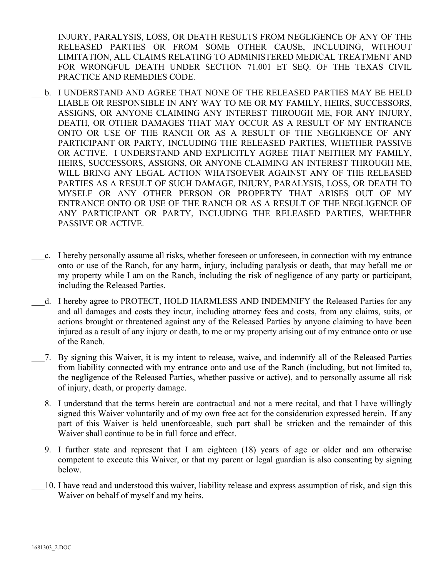INJURY, PARALYSIS, LOSS, OR DEATH RESULTS FROM NEGLIGENCE OF ANY OF THE RELEASED PARTIES OR FROM SOME OTHER CAUSE, INCLUDING, WITHOUT LIMITATION, ALL CLAIMS RELATING TO ADMINISTERED MEDICAL TREATMENT AND FOR WRONGFUL DEATH UNDER SECTION 71.001 ET SEQ. OF THE TEXAS CIVIL PRACTICE AND REMEDIES CODE.

- b. I UNDERSTAND AND AGREE THAT NONE OF THE RELEASED PARTIES MAY BE HELD LIABLE OR RESPONSIBLE IN ANY WAY TO ME OR MY FAMILY, HEIRS, SUCCESSORS, ASSIGNS, OR ANYONE CLAIMING ANY INTEREST THROUGH ME, FOR ANY INJURY, DEATH, OR OTHER DAMAGES THAT MAY OCCUR AS A RESULT OF MY ENTRANCE ONTO OR USE OF THE RANCH OR AS A RESULT OF THE NEGLIGENCE OF ANY PARTICIPANT OR PARTY, INCLUDING THE RELEASED PARTIES, WHETHER PASSIVE OR ACTIVE. I UNDERSTAND AND EXPLICITLY AGREE THAT NEITHER MY FAMILY, HEIRS, SUCCESSORS, ASSIGNS, OR ANYONE CLAIMING AN INTEREST THROUGH ME, WILL BRING ANY LEGAL ACTION WHATSOEVER AGAINST ANY OF THE RELEASED PARTIES AS A RESULT OF SUCH DAMAGE, INJURY, PARALYSIS, LOSS, OR DEATH TO MYSELF OR ANY OTHER PERSON OR PROPERTY THAT ARISES OUT OF MY ENTRANCE ONTO OR USE OF THE RANCH OR AS A RESULT OF THE NEGLIGENCE OF ANY PARTICIPANT OR PARTY, INCLUDING THE RELEASED PARTIES, WHETHER PASSIVE OR ACTIVE.
- \_\_\_c. I hereby personally assume all risks, whether foreseen or unforeseen, in connection with my entrance onto or use of the Ranch, for any harm, injury, including paralysis or death, that may befall me or my property while I am on the Ranch, including the risk of negligence of any party or participant, including the Released Parties.
- d. I hereby agree to PROTECT, HOLD HARMLESS AND INDEMNIFY the Released Parties for any and all damages and costs they incur, including attorney fees and costs, from any claims, suits, or actions brought or threatened against any of the Released Parties by anyone claiming to have been injured as a result of any injury or death, to me or my property arising out of my entrance onto or use of the Ranch.
- \_\_\_7. By signing this Waiver, it is my intent to release, waive, and indemnify all of the Released Parties from liability connected with my entrance onto and use of the Ranch (including, but not limited to, the negligence of the Released Parties, whether passive or active), and to personally assume all risk of injury, death, or property damage.
- \_\_\_8. I understand that the terms herein are contractual and not a mere recital, and that I have willingly signed this Waiver voluntarily and of my own free act for the consideration expressed herein. If any part of this Waiver is held unenforceable, such part shall be stricken and the remainder of this Waiver shall continue to be in full force and effect.
- \_\_\_9. I further state and represent that I am eighteen (18) years of age or older and am otherwise competent to execute this Waiver, or that my parent or legal guardian is also consenting by signing below.
- \_\_\_10. I have read and understood this waiver, liability release and express assumption of risk, and sign this Waiver on behalf of myself and my heirs.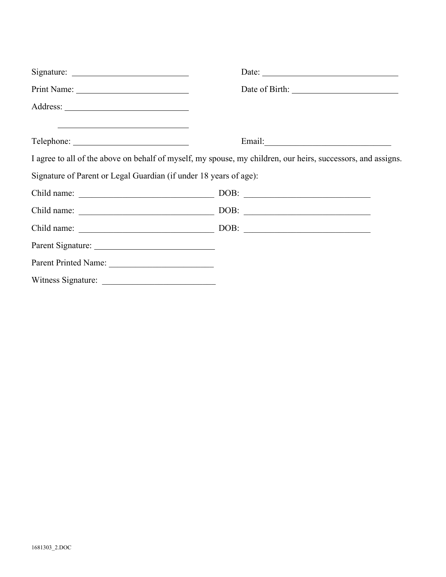|                                                                                                                         | Date:                                                                                                        |
|-------------------------------------------------------------------------------------------------------------------------|--------------------------------------------------------------------------------------------------------------|
|                                                                                                                         |                                                                                                              |
|                                                                                                                         |                                                                                                              |
| <u> Andreas Andreas Andreas Andreas Andreas Andreas Andreas Andreas Andreas Andreas Andreas Andreas Andreas Andreas</u> |                                                                                                              |
|                                                                                                                         | I agree to all of the above on behalf of myself, my spouse, my children, our heirs, successors, and assigns. |
| Signature of Parent or Legal Guardian (if under 18 years of age):                                                       |                                                                                                              |
|                                                                                                                         |                                                                                                              |
|                                                                                                                         |                                                                                                              |
|                                                                                                                         |                                                                                                              |
|                                                                                                                         |                                                                                                              |
| Parent Printed Name:                                                                                                    |                                                                                                              |
|                                                                                                                         |                                                                                                              |